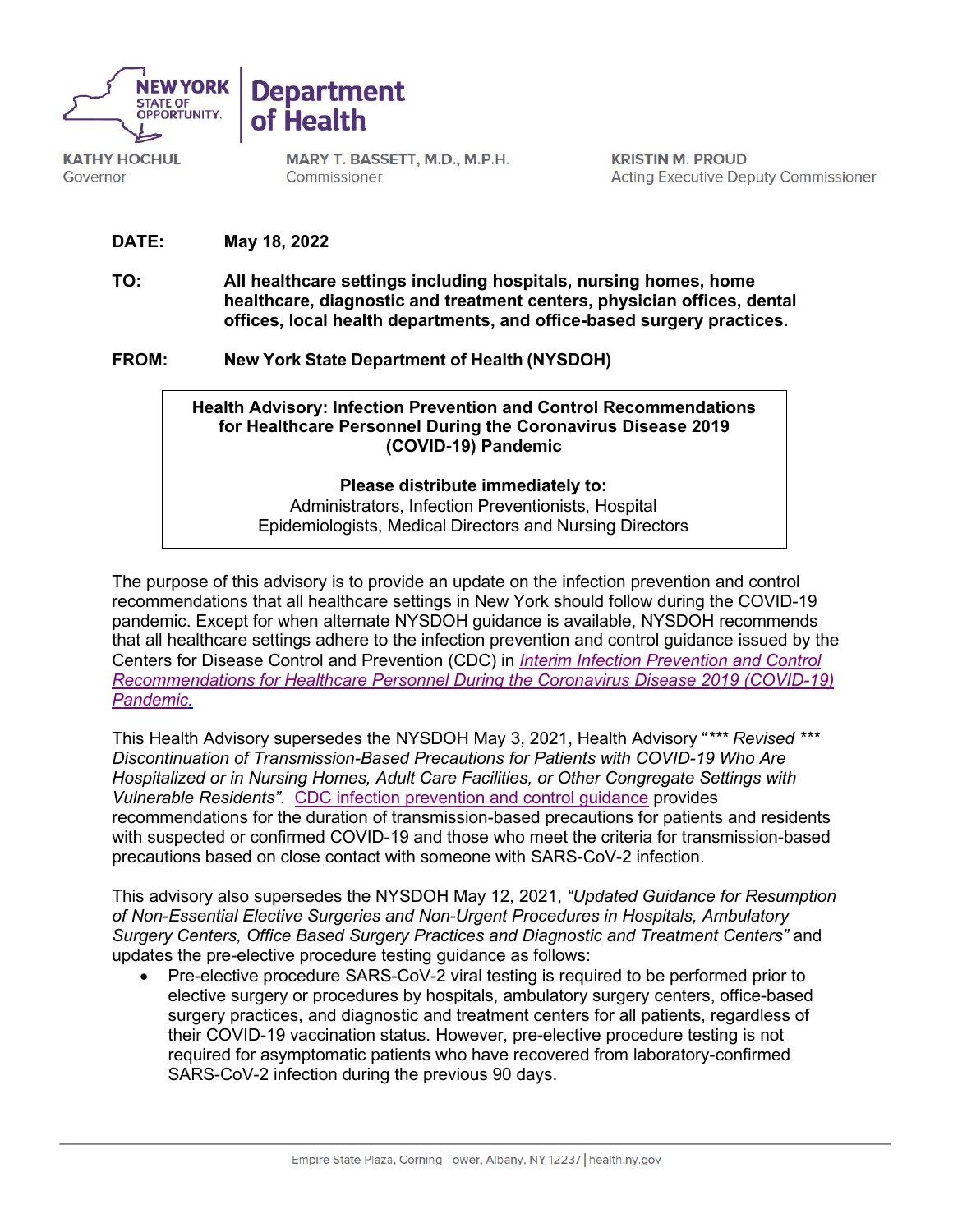

**KATHY HOCHUL** Governor

**Department** of Health

> MARY T. BASSETT, M.D., M.P.H. Commissioner

**KRISTIN M. PROUD Acting Executive Deputy Commissioner** 

- **DATE: May 18, 2022**
- **TO: All healthcare settings including hospitals, nursing homes, home healthcare, diagnostic and treatment centers, physician offices, dental offices, local health departments, and office-based surgery practices.**
- **FROM: New York State Department of Health (NYSDOH)**

## **Health Advisory: Infection Prevention and Control Recommendations for Healthcare Personnel During the Coronavirus Disease 2019 (COVID-19) Pandemic**

## **Please distribute immediately to:**

Administrators, Infection Preventionists, Hospital Epidemiologists, Medical Directors and Nursing Directors

The purpose of this advisory is to provide an update on the infection prevention and control recommendations that all healthcare settings in New York should follow during the COVID-19 pandemic. Except for when alternate NYSDOH guidance is available, NYSDOH recommends that all healthcare settings adhere to the infection prevention and control guidance issued by the Centers for Disease Control and Prevention (CDC) in *[Interim Infection Prevention and Control](https://www.cdc.gov/coronavirus/2019-ncov/hcp/infection-control-recommendations.html)  [Recommendations for Healthcare Personnel During the Coronavirus Disease 2019 \(COVID-19\)](https://www.cdc.gov/coronavirus/2019-ncov/hcp/infection-control-recommendations.html)  [Pandemic.](https://www.cdc.gov/coronavirus/2019-ncov/hcp/infection-control-recommendations.html)*

This Health Advisory supersedes the NYSDOH May 3, 2021, Health Advisory "*\*\*\* Revised \*\*\* Discontinuation of Transmission-Based Precautions for Patients with COVID-19 Who Are Hospitalized or in Nursing Homes, Adult Care Facilities, or Other Congregate Settings with Vulnerable Residents".* [CDC infection prevention and control guidance](https://www.cdc.gov/coronavirus/2019-ncov/hcp/infection-control-recommendations.html) provides recommendations for the duration of transmission-based precautions for patients and residents with suspected or confirmed COVID-19 and those who meet the criteria for transmission-based precautions based on close contact with someone with SARS-CoV-2 infection.

This advisory also supersedes the NYSDOH May 12, 2021, *"Updated Guidance for Resumption of Non-Essential Elective Surgeries and Non-Urgent Procedures in Hospitals, Ambulatory Surgery Centers, Office Based Surgery Practices and Diagnostic and Treatment Centers"* and updates the pre-elective procedure testing guidance as follows:

Pre-elective procedure SARS-CoV-2 viral testing is required to be performed prior to elective surgery or procedures by hospitals, ambulatory surgery centers, office-based surgery practices, and diagnostic and treatment centers for all patients, regardless of their COVID-19 vaccination status. However, pre-elective procedure testing is not required for asymptomatic patients who have recovered from laboratory-confirmed SARS-CoV-2 infection during the previous 90 days.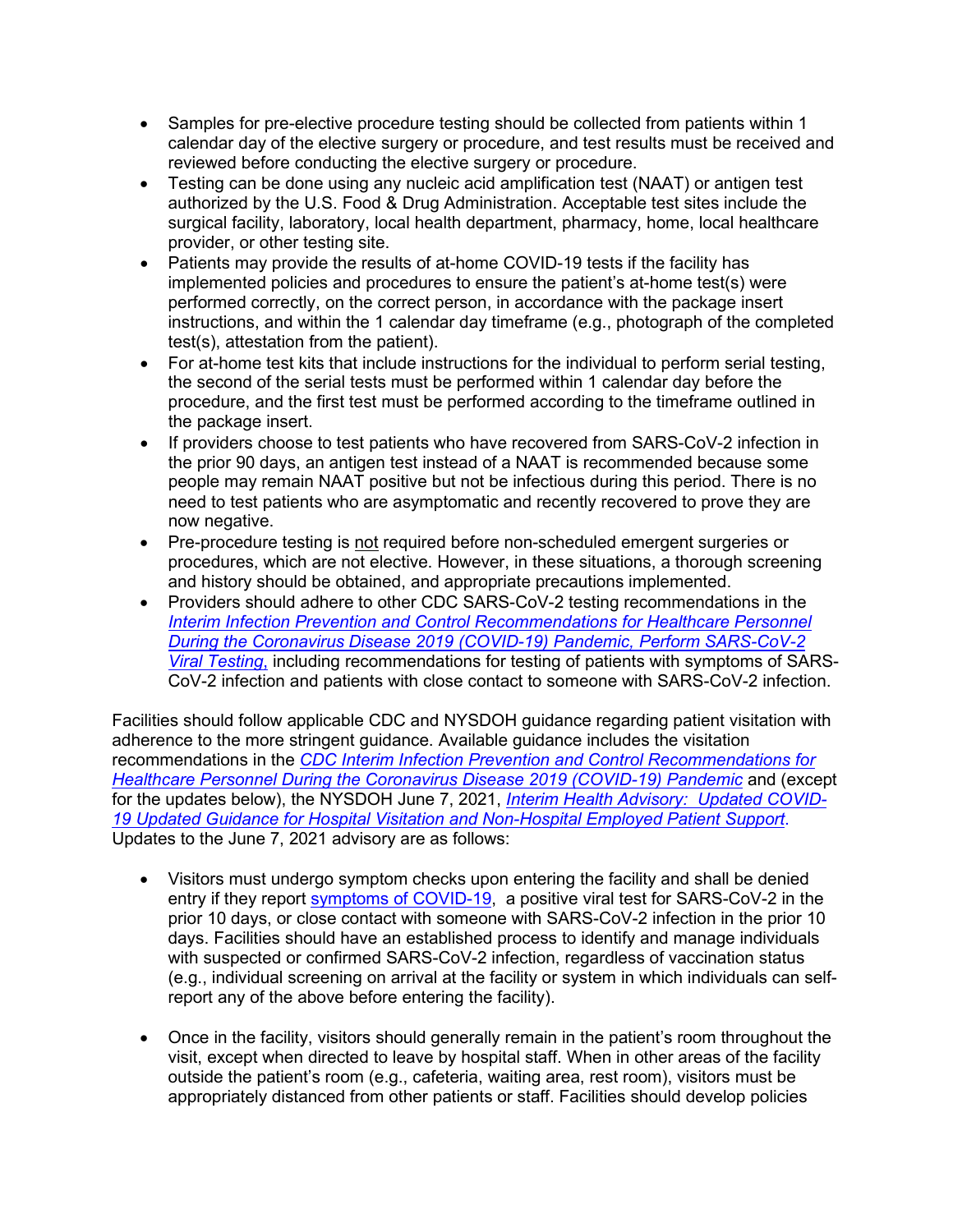- Samples for pre-elective procedure testing should be collected from patients within 1 calendar day of the elective surgery or procedure, and test results must be received and reviewed before conducting the elective surgery or procedure.
- Testing can be done using any nucleic acid amplification test (NAAT) or antigen test authorized by the U.S. Food & Drug Administration. Acceptable test sites include the surgical facility, laboratory, local health department, pharmacy, home, local healthcare provider, or other testing site.
- Patients may provide the results of at-home COVID-19 tests if the facility has implemented policies and procedures to ensure the patient's at-home test(s) were performed correctly, on the correct person, in accordance with the package insert instructions, and within the 1 calendar day timeframe (e.g., photograph of the completed test(s), attestation from the patient).
- For at-home test kits that include instructions for the individual to perform serial testing, the second of the serial tests must be performed within 1 calendar day before the procedure, and the first test must be performed according to the timeframe outlined in the package insert.
- If providers choose to test patients who have recovered from SARS-CoV-2 infection in the prior 90 days, an antigen test instead of a NAAT is recommended because some people may remain NAAT positive but not be infectious during this period. There is no need to test patients who are asymptomatic and recently recovered to prove they are now negative.
- Pre-procedure testing is not required before non-scheduled emergent surgeries or procedures, which are not elective. However, in these situations, a thorough screening and history should be obtained, and appropriate precautions implemented.
- Providers should adhere to other CDC SARS-CoV-2 testing recommendations in th[e](https://www.cdc.gov/coronavirus/2019-ncov/hcp/infection-control-recommendations.html) *[Interim Infection Prevention and Control Recommendations for Healthcare Personnel](https://www.cdc.gov/coronavirus/2019-ncov/hcp/infection-control-recommendations.html)  [During the Coronavirus Disease 2019 \(COVID-19\) Pandemic, Perform SARS-CoV-2](https://www.cdc.gov/coronavirus/2019-ncov/hcp/infection-control-recommendations.html)  [Viral Testing](https://www.cdc.gov/coronavirus/2019-ncov/hcp/infection-control-recommendations.html)*, including recommendations for testing of patients with symptoms of SARS-CoV-2 infection and patients with close contact to someone with SARS-CoV-2 infection.

Facilities should follow applicable CDC and NYSDOH guidance regarding patient visitation with adherence to the more stringent guidance. Available guidance includes the visitation recommendations in the *[CDC Interim Infection Prevention and Control Recommendations for](https://www.cdc.gov/coronavirus/2019-ncov/hcp/infection-control-recommendations.html) [Healthcare Personnel During the Coronavirus Disease 2019 \(COVID-19\) Pandemic](https://www.cdc.gov/coronavirus/2019-ncov/hcp/infection-control-recommendations.html)* and (except for the updates below), the NYSDOH June 7, 2021, *[Interim Health Advisory: Updated COVID-](https://coronavirus.health.ny.gov/system/files/documents/2021/06/hospital_visitation_guidance_06072021.pdf)[19 Updated Guidance for Hospital Visitation and Non-Hospital Employed Patient Support](https://coronavirus.health.ny.gov/system/files/documents/2021/06/hospital_visitation_guidance_06072021.pdf)*. Updates to the June 7, 2021 advisory are as follows:

- Visitors must undergo symptom checks upon entering the facility and shall be denied entry if they report [symptoms of COVID-19,](https://www.cdc.gov/coronavirus/2019-ncov/symptoms-testing/symptoms.html) a positive viral test for SARS-CoV-2 in the prior 10 days, or close contact with someone with SARS-CoV-2 infection in the prior 10 days. Facilities should have an established process to identify and manage individuals with suspected or confirmed SARS-CoV-2 infection, regardless of vaccination status (e.g., individual screening on arrival at the facility or system in which individuals can selfreport any of the above before entering the facility).
- Once in the facility, visitors should generally remain in the patient's room throughout the visit, except when directed to leave by hospital staff. When in other areas of the facility outside the patient's room (e.g., cafeteria, waiting area, rest room), visitors must be appropriately distanced from other patients or staff. Facilities should develop policies